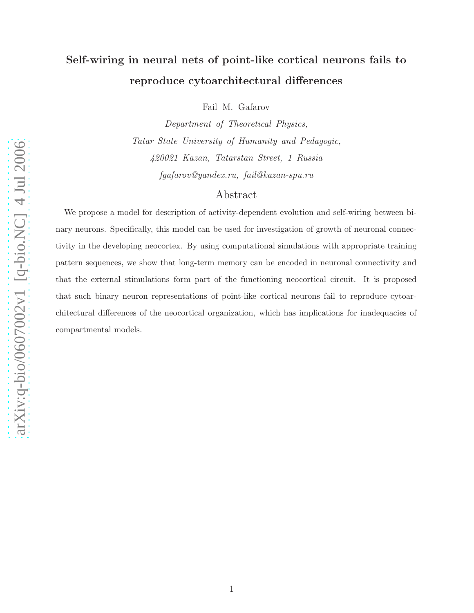# Self-wiring in neural nets of point-like cortical neurons fails to reproduce cytoarchitectural differences

Fail M. Gafarov

Department of Theoretical Physics, Tatar State University of Humanity and Pedagogic, 420021 Kazan, Tatarstan Street, 1 Russia fgafarov@yandex.ru, fail@kazan-spu.ru

# Abstract

We propose a model for description of activity-dependent evolution and self-wiring between binary neurons. Specifically, this model can be used for investigation of growth of neuronal connectivity in the developing neocortex. By using computational simulations with appropriate training pattern sequences, we show that long-term memory can be encoded in neuronal connectivity and that the external stimulations form part of the functioning neocortical circuit. It is proposed that such binary neuron representations of point-like cortical neurons fail to reproduce cytoarchitectural differences of the neocortical organization, which has implications for inadequacies of compartmental models.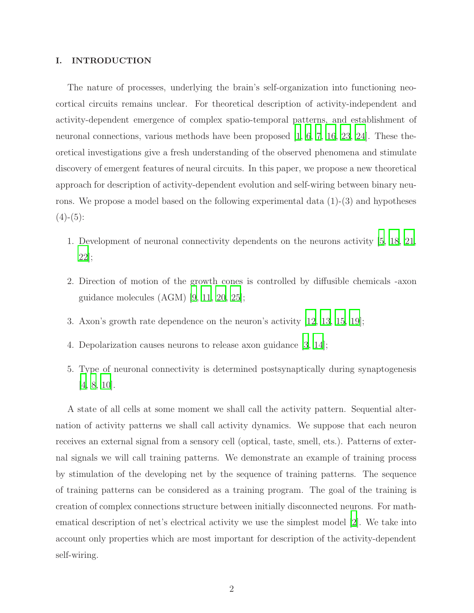## I. INTRODUCTION

The nature of processes, underlying the brain's self-organization into functioning neocortical circuits remains unclear. For theoretical description of activity-independent and activity-dependent emergence of complex spatio-temporal patterns, and establishment of neuronal connections, various methods have been proposed [\[1](#page-10-0), [6,](#page-10-1) [7,](#page-10-2) [16,](#page-11-0) [23,](#page-11-1) [24\]](#page-11-2). These theoretical investigations give a fresh understanding of the observed phenomena and stimulate discovery of emergent features of neural circuits. In this paper, we propose a new theoretical approach for description of activity-dependent evolution and self-wiring between binary neurons. We propose a model based on the following experimental data (1)-(3) and hypotheses  $(4)-(5)$ :

- 1. Development of neuronal connectivity dependents on the neurons activity [\[5](#page-10-3), [18,](#page-11-3) [21,](#page-11-4) [22\]](#page-11-5);
- 2. Direction of motion of the growth cones is controlled by diffusible chemicals -axon guidance molecules (AGM) [\[9,](#page-10-4) [11,](#page-10-5) [20,](#page-11-6) [25\]](#page-11-7);
- 3. Axon's growth rate dependence on the neuron's activity [\[12](#page-10-6), [13,](#page-10-7) [15,](#page-11-8) [19\]](#page-11-9);
- 4. Depolarization causes neurons to release axon guidance [\[3,](#page-10-8) [14](#page-11-10)];
- 5. Type of neuronal connectivity is determined postsynaptically during synaptogenesis [\[4](#page-10-9), [8,](#page-10-10) [10\]](#page-10-11).

A state of all cells at some moment we shall call the activity pattern. Sequential alternation of activity patterns we shall call activity dynamics. We suppose that each neuron receives an external signal from a sensory cell (optical, taste, smell, ets.). Patterns of external signals we will call training patterns. We demonstrate an example of training process by stimulation of the developing net by the sequence of training patterns. The sequence of training patterns can be considered as a training program. The goal of the training is creation of complex connections structure between initially disconnected neurons. For mathematical description of net's electrical activity we use the simplest model [\[2\]](#page-10-12). We take into account only properties which are most important for description of the activity-dependent self-wiring.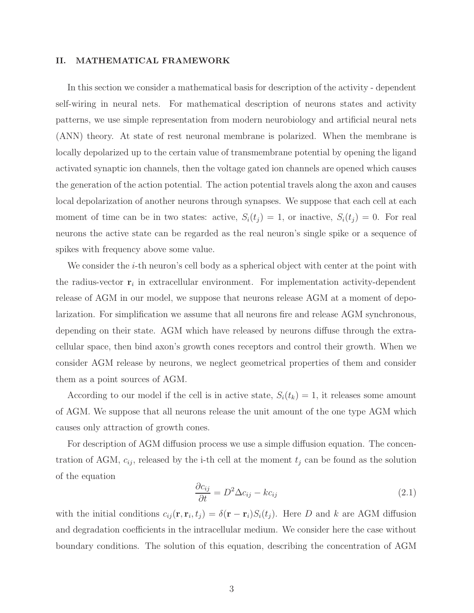## II. MATHEMATICAL FRAMEWORK

In this section we consider a mathematical basis for description of the activity - dependent self-wiring in neural nets. For mathematical description of neurons states and activity patterns, we use simple representation from modern neurobiology and artificial neural nets (ANN) theory. At state of rest neuronal membrane is polarized. When the membrane is locally depolarized up to the certain value of transmembrane potential by opening the ligand activated synaptic ion channels, then the voltage gated ion channels are opened which causes the generation of the action potential. The action potential travels along the axon and causes local depolarization of another neurons through synapses. We suppose that each cell at each moment of time can be in two states: active,  $S_i(t_j) = 1$ , or inactive,  $S_i(t_j) = 0$ . For real neurons the active state can be regarded as the real neuron's single spike or a sequence of spikes with frequency above some value.

We consider the  $i$ -th neuron's cell body as a spherical object with center at the point with the radius-vector  $r_i$  in extracellular environment. For implementation activity-dependent release of AGM in our model, we suppose that neurons release AGM at a moment of depolarization. For simplification we assume that all neurons fire and release AGM synchronous, depending on their state. AGM which have released by neurons diffuse through the extracellular space, then bind axon's growth cones receptors and control their growth. When we consider AGM release by neurons, we neglect geometrical properties of them and consider them as a point sources of AGM.

According to our model if the cell is in active state,  $S_i(t_k) = 1$ , it releases some amount of AGM. We suppose that all neurons release the unit amount of the one type AGM which causes only attraction of growth cones.

For description of AGM diffusion process we use a simple diffusion equation. The concentration of AGM,  $c_{ij}$ , released by the i-th cell at the moment  $t_j$  can be found as the solution of the equation

$$
\frac{\partial c_{ij}}{\partial t} = D^2 \Delta c_{ij} - k c_{ij}
$$
\n(2.1)

with the initial conditions  $c_{ij}(\mathbf{r}, \mathbf{r}_i, t_j) = \delta(\mathbf{r} - \mathbf{r}_i) S_i(t_j)$ . Here D and k are AGM diffusion and degradation coefficients in the intracellular medium. We consider here the case without boundary conditions. The solution of this equation, describing the concentration of AGM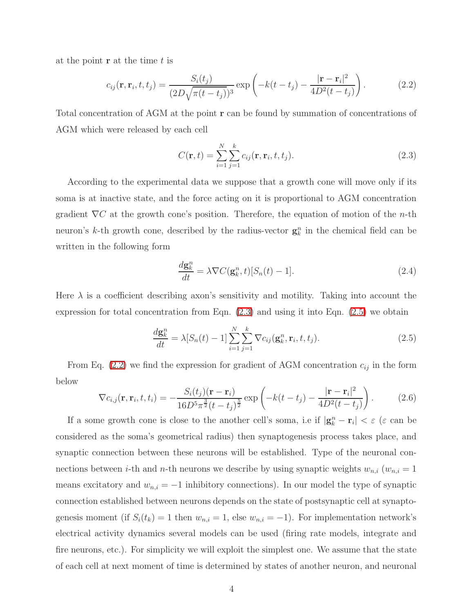<span id="page-3-2"></span>at the point  $\bf{r}$  at the time t is

<span id="page-3-0"></span>
$$
c_{ij}(\mathbf{r}, \mathbf{r}_i, t, t_j) = \frac{S_i(t_j)}{(2D\sqrt{\pi(t - t_j)})^3} \exp\left(-k(t - t_j) - \frac{|\mathbf{r} - \mathbf{r}_i|^2}{4D^2(t - t_j)}\right).
$$
 (2.2)

Total concentration of AGM at the point r can be found by summation of concentrations of AGM which were released by each cell

$$
C(\mathbf{r},t) = \sum_{i=1}^{N} \sum_{j=1}^{k} c_{ij}(\mathbf{r}, \mathbf{r}_i, t, t_j).
$$
 (2.3)

According to the experimental data we suppose that a growth cone will move only if its soma is at inactive state, and the force acting on it is proportional to AGM concentration gradient  $\nabla C$  at the growth cone's position. Therefore, the equation of motion of the *n*-th neuron's k-th growth cone, described by the radius-vector  $\mathbf{g}_k^n$  in the chemical field can be written in the following form

$$
\frac{d\mathbf{g}_k^n}{dt} = \lambda \nabla C(\mathbf{g}_k^n, t) [S_n(t) - 1]. \tag{2.4}
$$

<span id="page-3-1"></span>Here  $\lambda$  is a coefficient describing axon's sensitivity and motility. Taking into account the expression for total concentration from Eqn. [\(2.3\)](#page-3-0) and using it into Eqn. [\(2.5\)](#page-3-1) we obtain

$$
\frac{d\mathbf{g}_k^n}{dt} = \lambda [S_n(t) - 1] \sum_{i=1}^N \sum_{j=1}^k \nabla c_{ij}(\mathbf{g}_k^n, \mathbf{r}_i, t, t_j).
$$
\n(2.5)

<span id="page-3-3"></span>From Eq. [\(2.2\)](#page-3-2) we find the expression for gradient of AGM concentration  $c_{ij}$  in the form below

$$
\nabla c_{i,j}(\mathbf{r}, \mathbf{r}_i, t, t_i) = -\frac{S_i(t_j)(\mathbf{r} - \mathbf{r}_i)}{16D^5 \pi^{\frac{3}{2}}(t - t_j)^{\frac{5}{2}}} \exp\left(-k(t - t_j) - \frac{|\mathbf{r} - \mathbf{r}_i|^2}{4D^2(t - t_j)}\right). \tag{2.6}
$$

If a some growth cone is close to the another cell's soma, i.e if  $|\mathbf{g}_k^n - \mathbf{r}_i| < \varepsilon$  ( $\varepsilon$  can be considered as the soma's geometrical radius) then synaptogenesis process takes place, and synaptic connection between these neurons will be established. Type of the neuronal connections between *i*-th and *n*-th neurons we describe by using synaptic weights  $w_{n,i}$  ( $w_{n,i} = 1$ means excitatory and  $w_{n,i} = -1$  inhibitory connections). In our model the type of synaptic connection established between neurons depends on the state of postsynaptic cell at synaptogenesis moment (if  $S_i(t_k) = 1$  then  $w_{n,i} = 1$ , else  $w_{n,i} = -1$ ). For implementation network's electrical activity dynamics several models can be used (firing rate models, integrate and fire neurons, etc.). For simplicity we will exploit the simplest one. We assume that the state of each cell at next moment of time is determined by states of another neuron, and neuronal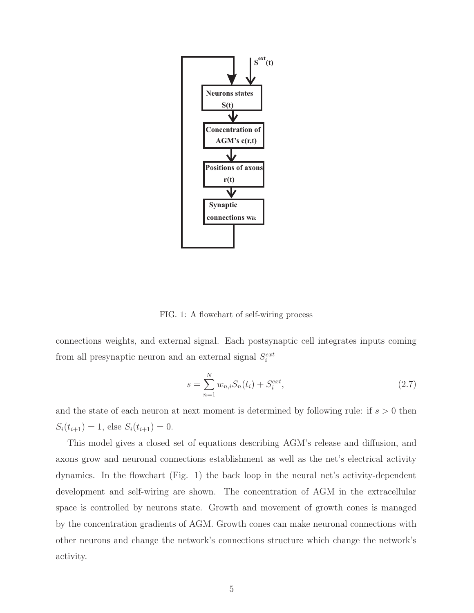

FIG. 1: A flowchart of self-wiring process

connections weights, and external signal. Each postsynaptic cell integrates inputs coming from all presynaptic neuron and an external signal  $S_i^{ext}$ 

$$
s = \sum_{n=1}^{N} w_{n,i} S_n(t_i) + S_i^{ext},
$$
\n(2.7)

and the state of each neuron at next moment is determined by following rule: if  $s > 0$  then  $S_i(t_{i+1}) = 1$ , else  $S_i(t_{i+1}) = 0$ .

This model gives a closed set of equations describing AGM's release and diffusion, and axons grow and neuronal connections establishment as well as the net's electrical activity dynamics. In the flowchart (Fig. 1) the back loop in the neural net's activity-dependent development and self-wiring are shown. The concentration of AGM in the extracellular space is controlled by neurons state. Growth and movement of growth cones is managed by the concentration gradients of AGM. Growth cones can make neuronal connections with other neurons and change the network's connections structure which change the network's activity.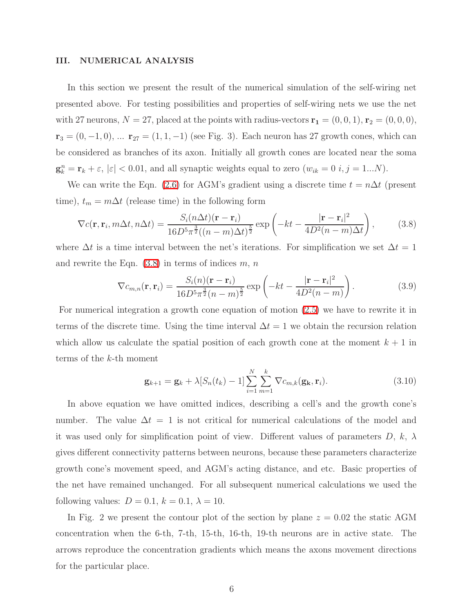### III. NUMERICAL ANALYSIS

In this section we present the result of the numerical simulation of the self-wiring net presented above. For testing possibilities and properties of self-wiring nets we use the net with 27 neurons,  $N = 27$ , placed at the points with radius-vectors  $\mathbf{r_1} = (0, 0, 1), \mathbf{r_2} = (0, 0, 0),$  $r_3 = (0, -1, 0), \dots$   $r_{27} = (1, 1, -1)$  (see Fig. 3). Each neuron has 27 growth cones, which can be considered as branches of its axon. Initially all growth cones are located near the soma  $\mathbf{g}_{k}^{n} = \mathbf{r}_{k} + \varepsilon, |\varepsilon| < 0.01$ , and all synaptic weights equal to zero  $(w_{ik} = 0 \text{ } i, j = 1...N)$ .

<span id="page-5-0"></span>We can write the Eqn. [\(2.6\)](#page-3-3) for AGM's gradient using a discrete time  $t = n\Delta t$  (present time),  $t_m = m\Delta t$  (release time) in the following form

$$
\nabla c(\mathbf{r}, \mathbf{r}_i, m\Delta t, n\Delta t) = \frac{S_i(n\Delta t)(\mathbf{r} - \mathbf{r}_i)}{16D^5\pi^{\frac{3}{2}}((n-m)\Delta t)^{\frac{5}{2}}} \exp\left(-kt - \frac{|\mathbf{r} - \mathbf{r}_i|^2}{4D^2(n-m)\Delta t}\right),\tag{3.8}
$$

where  $\Delta t$  is a time interval between the net's iterations. For simplification we set  $\Delta t = 1$ and rewrite the Eqn.  $(3.8)$  in terms of indices  $m, n$ 

$$
\nabla c_{m,n}(\mathbf{r}, \mathbf{r}_i) = \frac{S_i(n)(\mathbf{r} - \mathbf{r}_i)}{16D^5\pi^{\frac{3}{2}}(n-m)^{\frac{5}{2}}} \exp\left(-kt - \frac{|\mathbf{r} - \mathbf{r}_i|^2}{4D^2(n-m)}\right).
$$
(3.9)

For numerical integration a growth cone equation of motion [\(2.5\)](#page-3-1) we have to rewrite it in terms of the discrete time. Using the time interval  $\Delta t = 1$  we obtain the recursion relation which allow us calculate the spatial position of each growth cone at the moment  $k + 1$  in terms of the k-th moment

$$
\mathbf{g}_{k+1} = \mathbf{g}_k + \lambda [S_n(t_k) - 1] \sum_{i=1}^N \sum_{m=1}^k \nabla c_{m,k}(\mathbf{g}_k, \mathbf{r}_i).
$$
 (3.10)

In above equation we have omitted indices, describing a cell's and the growth cone's number. The value  $\Delta t = 1$  is not critical for numerical calculations of the model and it was used only for simplification point of view. Different values of parameters  $D$ ,  $k$ ,  $\lambda$ gives different connectivity patterns between neurons, because these parameters characterize growth cone's movement speed, and AGM's acting distance, and etc. Basic properties of the net have remained unchanged. For all subsequent numerical calculations we used the following values:  $D = 0.1$ ,  $k = 0.1$ ,  $\lambda = 10$ .

In Fig. 2 we present the contour plot of the section by plane  $z = 0.02$  the static AGM concentration when the 6-th, 7-th, 15-th, 16-th, 19-th neurons are in active state. The arrows reproduce the concentration gradients which means the axons movement directions for the particular place.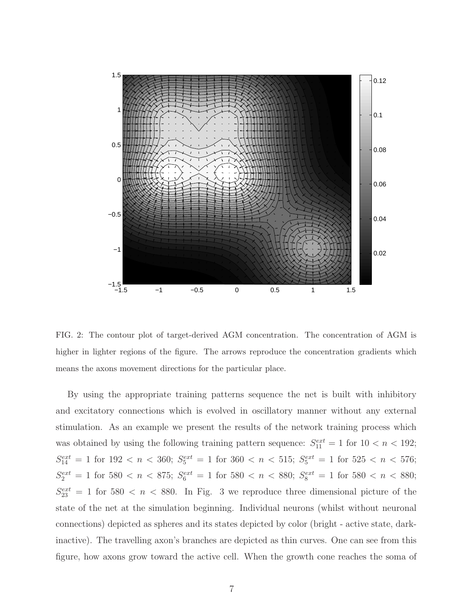

FIG. 2: The contour plot of target-derived AGM concentration. The concentration of AGM is higher in lighter regions of the figure. The arrows reproduce the concentration gradients which means the axons movement directions for the particular place.

By using the appropriate training patterns sequence the net is built with inhibitory and excitatory connections which is evolved in oscillatory manner without any external stimulation. As an example we present the results of the network training process which was obtained by using the following training pattern sequence:  $S_{11}^{ext} = 1$  for  $10 < n < 192$ ;  $S_{14}^{ext} = 1$  for  $192 < n < 360$ ;  $S_5^{ext} = 1$  for  $360 < n < 515$ ;  $S_5^{ext} = 1$  for  $525 < n < 576$ ;  $S_2^{ext} = 1$  for 580  $\lt n \lt 875$ ;  $S_6^{ext} = 1$  for 580  $\lt n \lt 880$ ;  $S_8^{ext} = 1$  for 580  $\lt n \lt 880$ ;  $S_{23}^{ext} = 1$  for 580  $\lt n \lt 880$ . In Fig. 3 we reproduce three dimensional picture of the state of the net at the simulation beginning. Individual neurons (whilst without neuronal connections) depicted as spheres and its states depicted by color (bright - active state, darkinactive). The travelling axon's branches are depicted as thin curves. One can see from this figure, how axons grow toward the active cell. When the growth cone reaches the soma of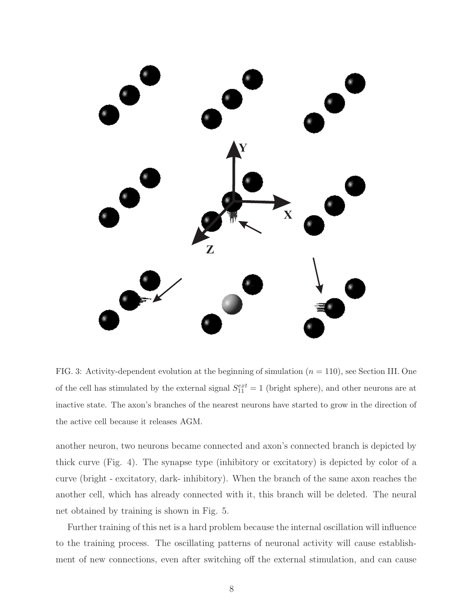

FIG. 3: Activity-dependent evolution at the beginning of simulation  $(n = 110)$ , see Section III. One of the cell has stimulated by the external signal  $S_{11}^{ext} = 1$  (bright sphere), and other neurons are at inactive state. The axon's branches of the nearest neurons have started to grow in the direction of the active cell because it releases AGM.

another neuron, two neurons became connected and axon's connected branch is depicted by thick curve (Fig. 4). The synapse type (inhibitory or excitatory) is depicted by color of a curve (bright - excitatory, dark- inhibitory). When the branch of the same axon reaches the another cell, which has already connected with it, this branch will be deleted. The neural net obtained by training is shown in Fig. 5.

Further training of this net is a hard problem because the internal oscillation will influence to the training process. The oscillating patterns of neuronal activity will cause establishment of new connections, even after switching off the external stimulation, and can cause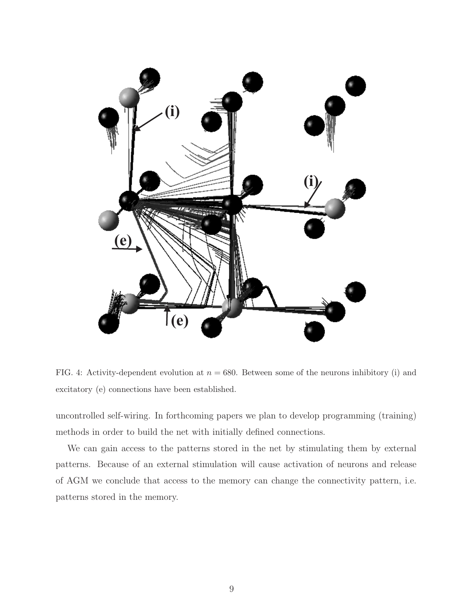

FIG. 4: Activity-dependent evolution at  $n = 680$ . Between some of the neurons inhibitory (i) and excitatory (e) connections have been established.

uncontrolled self-wiring. In forthcoming papers we plan to develop programming (training) methods in order to build the net with initially defined connections.

We can gain access to the patterns stored in the net by stimulating them by external patterns. Because of an external stimulation will cause activation of neurons and release of AGM we conclude that access to the memory can change the connectivity pattern, i.e. patterns stored in the memory.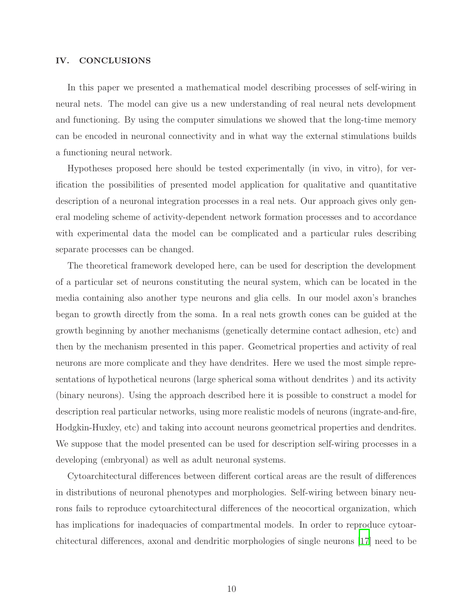## IV. CONCLUSIONS

In this paper we presented a mathematical model describing processes of self-wiring in neural nets. The model can give us a new understanding of real neural nets development and functioning. By using the computer simulations we showed that the long-time memory can be encoded in neuronal connectivity and in what way the external stimulations builds a functioning neural network.

Hypotheses proposed here should be tested experimentally (in vivo, in vitro), for verification the possibilities of presented model application for qualitative and quantitative description of a neuronal integration processes in a real nets. Our approach gives only general modeling scheme of activity-dependent network formation processes and to accordance with experimental data the model can be complicated and a particular rules describing separate processes can be changed.

The theoretical framework developed here, can be used for description the development of a particular set of neurons constituting the neural system, which can be located in the media containing also another type neurons and glia cells. In our model axon's branches began to growth directly from the soma. In a real nets growth cones can be guided at the growth beginning by another mechanisms (genetically determine contact adhesion, etc) and then by the mechanism presented in this paper. Geometrical properties and activity of real neurons are more complicate and they have dendrites. Here we used the most simple representations of hypothetical neurons (large spherical soma without dendrites ) and its activity (binary neurons). Using the approach described here it is possible to construct a model for description real particular networks, using more realistic models of neurons (ingrate-and-fire, Hodgkin-Huxley, etc) and taking into account neurons geometrical properties and dendrites. We suppose that the model presented can be used for description self-wiring processes in a developing (embryonal) as well as adult neuronal systems.

Cytoarchitectural differences between different cortical areas are the result of differences in distributions of neuronal phenotypes and morphologies. Self-wiring between binary neurons fails to reproduce cytoarchitectural differences of the neocortical organization, which has implications for inadequacies of compartmental models. In order to reproduce cytoarchitectural differences, axonal and dendritic morphologies of single neurons [\[17\]](#page-11-11) need to be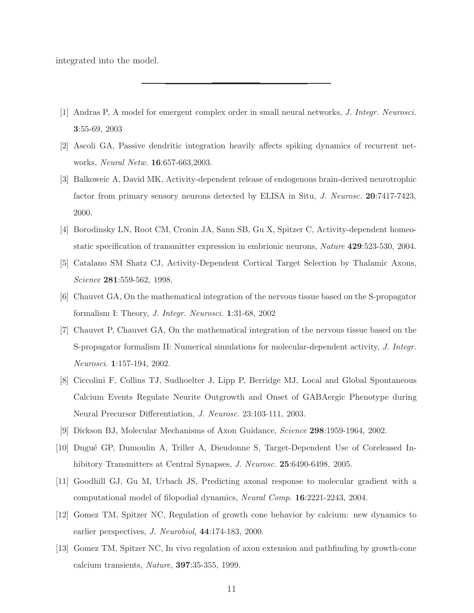integrated into the model.

- <span id="page-10-0"></span>[1] Andras P, A model for emergent complex order in small neural networks, J. Integr. Neurosci. 3:55-69, 2003
- <span id="page-10-12"></span>[2] Ascoli GA, Passive dendritic integration heavily affects spiking dynamics of recurrent networks, Neural Netw. 16:657-663,2003.
- <span id="page-10-8"></span>[3] Balkoweic A, David MK, Activity-dependent release of endogenous brain-derived neurotrophic factor from primary sensory neurons detected by ELISA in Situ, J. Neurosc. 20:7417-7423, 2000.
- <span id="page-10-9"></span>[4] Borodinsky LN, Root CM, Cronin JA, Sann SB, Gu X, Spitzer C, Activity-dependent homeostatic specification of transmitter expression in embrionic neurons, Nature 429:523-530, 2004.
- <span id="page-10-3"></span>[5] Catalano SM Shatz CJ, Activity-Dependent Cortical Target Selection by Thalamic Axons, Science 281:559-562, 1998.
- <span id="page-10-1"></span>[6] Chauvet GA, On the mathematical integration of the nervous tissue based on the S-propagator formalism I: Theory, J. Integr. Neurosci. 1:31-68, 2002
- <span id="page-10-2"></span>[7] Chauvet P, Chauvet GA, On the mathematical integration of the nervous tissue based on the S-propagator formalism II: Numerical simulations for molecular-dependent activity, J. Integr. Neurosci. 1:157-194, 2002.
- <span id="page-10-10"></span>[8] Ciccolini F, Collins TJ, Sudhoelter J, Lipp P, Berridge MJ, Local and Global Spontaneous Calcium Events Regulate Neurite Outgrowth and Onset of GABAergic Phenotype during Neural Precursor Differentiation, J. Neurosc. 23:103-111, 2003.
- <span id="page-10-4"></span>[9] Dickson BJ, Molecular Mechanisms of Axon Guidance, Science 298:1959-1964, 2002.
- <span id="page-10-11"></span>[10] Dugu´e GP, Dumoulin A, Triller A, Dieudonne S, Target-Dependent Use of Coreleased Inhibitory Transmitters at Central Synapses, *J. Neurosc.* **25**:6490-6498, 2005.
- <span id="page-10-5"></span>[11] Goodhill GJ, Gu M, Urbach JS, Predicting axonal response to molecular gradient with a computational model of filopodial dynamics, Neural Comp. 16:2221-2243, 2004.
- <span id="page-10-6"></span>[12] Gomez TM, Spitzer NC, Regulation of growth cone behavior by calcium: new dynamics to earlier perspectives, J. Neurobiol, 44:174-183, 2000.
- <span id="page-10-7"></span>[13] Gomez TM, Spitzer NC, In vivo regulation of axon extension and pathfinding by growth-cone calcium transients, Nature, 397:35-355, 1999.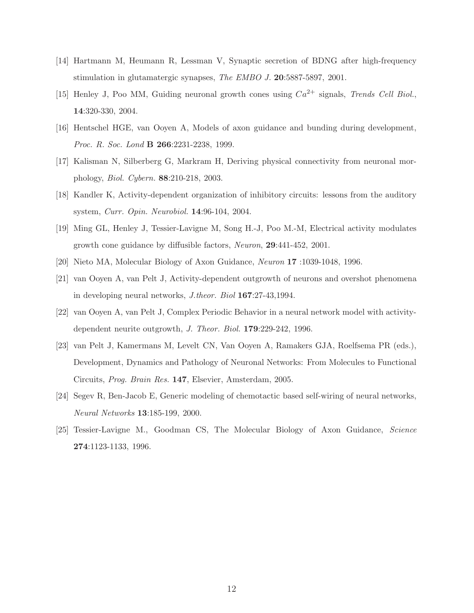- <span id="page-11-10"></span>[14] Hartmann M, Heumann R, Lessman V, Synaptic secretion of BDNG after high-frequency stimulation in glutamatergic synapses, The EMBO J. 20:5887-5897, 2001.
- <span id="page-11-8"></span>[15] Henley J, Poo MM, Guiding neuronal growth cones using  $Ca^{2+}$  signals, Trends Cell Biol., 14:320-330, 2004.
- <span id="page-11-0"></span>[16] Hentschel HGE, van Ooyen A, Models of axon guidance and bunding during development, Proc. R. Soc. Lond **B 266**:2231-2238, 1999.
- <span id="page-11-11"></span>[17] Kalisman N, Silberberg G, Markram H, Deriving physical connectivity from neuronal morphology, Biol. Cybern. 88:210-218, 2003.
- <span id="page-11-3"></span>[18] Kandler K, Activity-dependent organization of inhibitory circuits: lessons from the auditory system, Curr. Opin. Neurobiol. 14:96-104, 2004.
- <span id="page-11-9"></span>[19] Ming GL, Henley J, Tessier-Lavigne M, Song H.-J, Poo M.-M, Electrical activity modulates growth cone guidance by diffusible factors, Neuron, 29:441-452, 2001.
- <span id="page-11-6"></span><span id="page-11-4"></span>[20] Nieto MA, Molecular Biology of Axon Guidance, Neuron 17 :1039-1048, 1996.
- [21] van Ooyen A, van Pelt J, Activity-dependent outgrowth of neurons and overshot phenomena in developing neural networks, J.theor. Biol 167:27-43,1994.
- <span id="page-11-5"></span>[22] van Ooyen A, van Pelt J, Complex Periodic Behavior in a neural network model with activitydependent neurite outgrowth, J. Theor. Biol. 179:229-242, 1996.
- <span id="page-11-1"></span>[23] van Pelt J, Kamermans M, Levelt CN, Van Ooyen A, Ramakers GJA, Roelfsema PR (eds.), Development, Dynamics and Pathology of Neuronal Networks: From Molecules to Functional Circuits, Prog. Brain Res. 147, Elsevier, Amsterdam, 2005.
- <span id="page-11-2"></span>[24] Segev R, Ben-Jacob E, Generic modeling of chemotactic based self-wiring of neural networks, Neural Networks 13:185-199, 2000.
- <span id="page-11-7"></span>[25] Tessier-Lavigne M., Goodman CS, The Molecular Biology of Axon Guidance, Science 274:1123-1133, 1996.